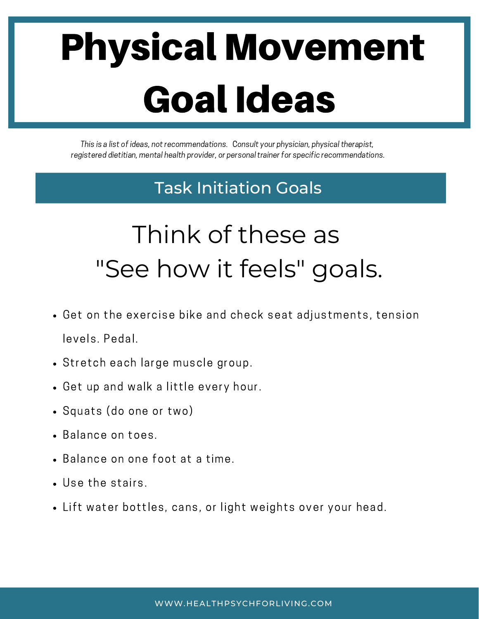## Physical Movement Goal Ideas

This is a list of ideas, not recommendations. Consult your physician, physical therapist, registered dietitian, mental health provider, or personal trainer for specific recommendations.

#### Task Initiation Goals

### Think of these as "See how it feels" goals.

- Get on the exercise bike and check seat adjustments, tension levels. Pedal.
- Stretch each large muscle group.
- Get up and walk a little every hour.
- Squats (do one or two)
- Balance on toes.
- Balance on one foot at a time.
- Use the stairs.
- Lift water bottles, cans, or light weights over your head.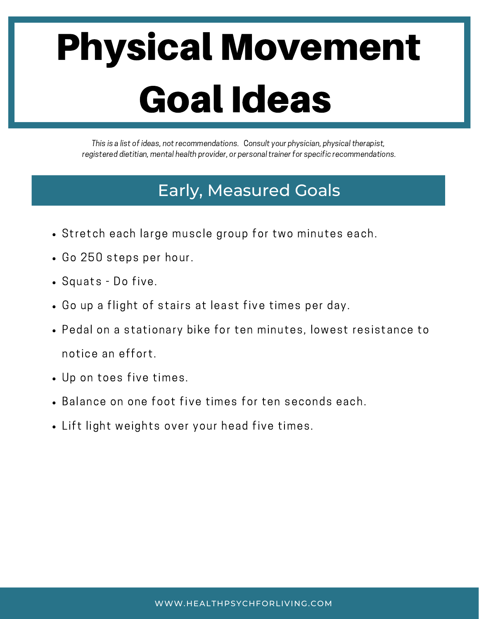## Physical Movement Goal Ideas

This is a list of ideas, not recommendations. Consult your physician, physical therapist, registered dietitian, mental health provider, or personal trainer for specific recommendations.

#### Early, Measured Goals

- Stretch each large muscle group for two minutes each.
- Go 250 steps per hour.
- Squats Do five.
- Go up a flight of stairs at least five times per day.
- Pedal on a stationary bike for ten minutes, lowest resistance to notice an effort.
- Up on toes five times.
- Balance on one foot five times for ten seconds each.
- Lift light weights over your head five times.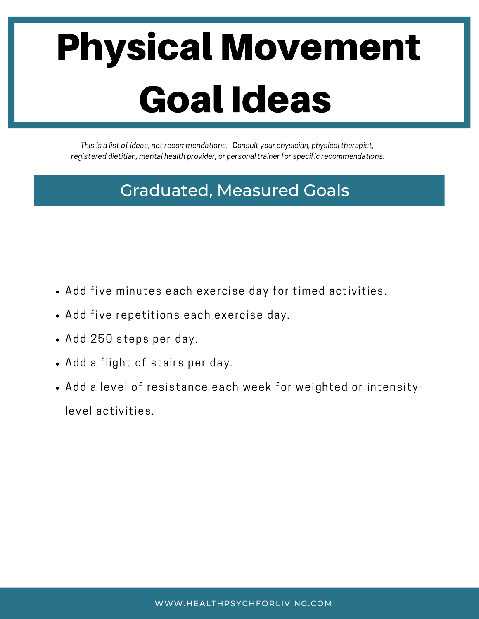## Physical Movement Goal Ideas

This is a list of ideas, not recommendations. Consult your physician, physical therapist, registered dietitian, mental health provider, or personal trainer for specific recommendations.

#### Graduated, Measured Goals

- Add five minutes each exercise day for timed activities.
- Add five repetitions each exercise day.
- Add 250 steps per day.
- Add a flight of stairs per day.
- Add a level of resistance each week for weighted or intensitylevel activities.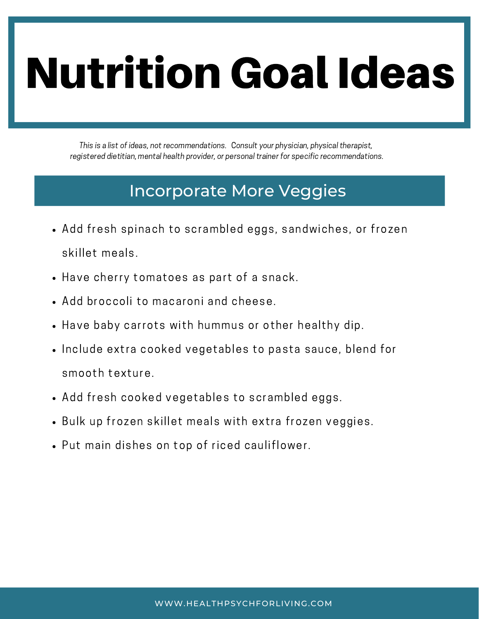# Nutrition Goal Ideas

This is a list of ideas, not recommendations. Consult your physician, physical therapist, registered dietitian, mental health provider, or personal trainer for specific recommendations.

#### Incorporate More Veggies

- Add fresh spinach to scrambled eggs, sandwiches, or frozen skillet meals.
- Have cherry tomatoes as part of a snack.
- Add broccoli to macaroni and cheese.
- Have baby carrots with hummus or other healthy dip.
- Include extra cooked vegetables to pasta sauce, blend for smooth texture.
- Add fresh cooked vegetables to scrambled eggs.
- . Bulk up frozen skillet meals with extra frozen veggies.
- Put main dishes on top of riced cauliflower.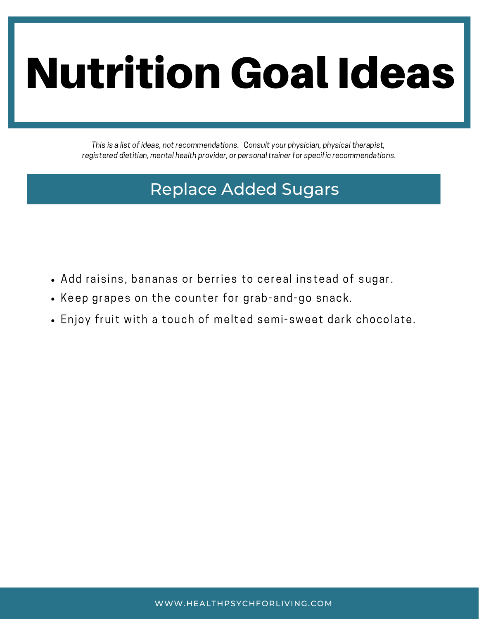# Nutrition Goal Ideas

This is a list of ideas, not recommendations. Consult your physician, physical therapist, registered dietitian, mental health provider, or personal trainer for specific recommendations.

#### Replace Added Sugars

- Add raisins, bananas or berries to cereal instead of sugar.
- Keep grapes on the counter for grab-and-go snack.
- Enjoy fruit with a touch of melted semi-sweet dark chocolate.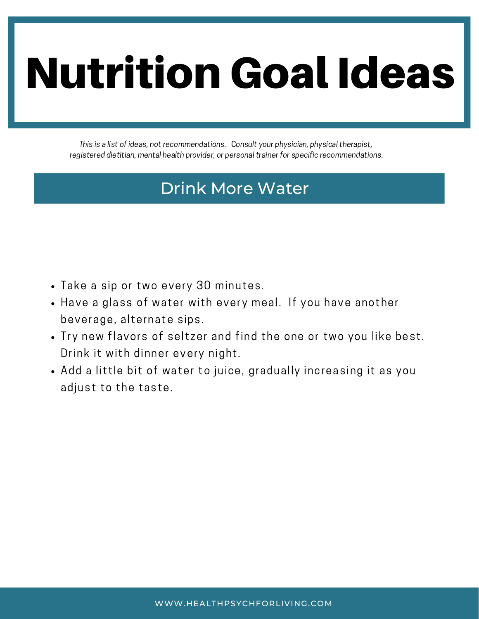# Nutrition Goal Ideas

This is a list of ideas, not recommendations. Consult your physician, physical therapist, registered dietitian, mental health provider, or personal trainer for specific recommendations.

#### Drink More Water

- . Take a sip or two every 30 minutes.
- Have a glass of water with every meal. If you have another beverage, alternate sips.
- Try new flavors of seltzer and find the one or two you like best. Drink it with dinner every night.
- Add a little bit of water to juice, gradually increasing it as you adjust to the taste.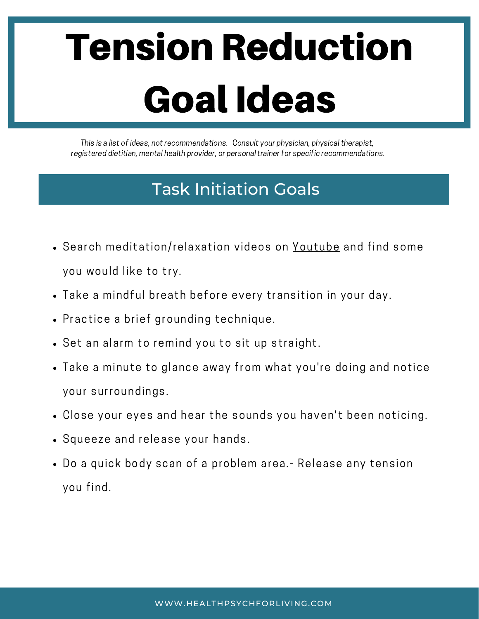## Tension Reduction Goal Ideas

This is a list of ideas, not recommendations. Consult your physician, physical therapist, registered dietitian, mental health provider, or personal trainer for specific recommendations.

#### Task Initiation Goals

- Search meditation/relaxation videos on [Youtube](https://www.youtube.com/channel/UC_edDLvfRM-q26ckGLwJ6Kw) and find some you would like to try.
- Take a mindful breath before every transition in your day.
- Practice a brief grounding technique.
- Set an alarm to remind you to sit up straight.
- Take a minute to glance away from what you're doing and notice your surroundings.
- Close your eyes and hear the sounds you haven't been noticing.
- Squeeze and release your hands.
- Do a quick body scan of a problem area.- Release any tension you find.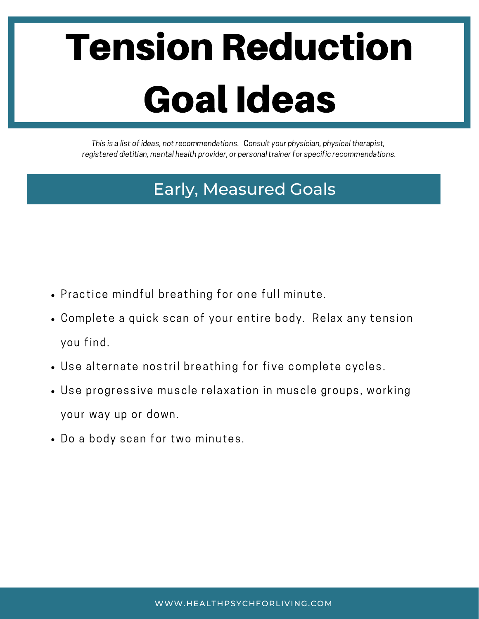## Tension Reduction Goal Ideas

This is a list of ideas, not recommendations. Consult your physician, physical therapist, registered dietitian, mental health provider, or personal trainer for specific recommendations.

#### Early, Measured Goals

- Practice mindful breathing for one full minute.
- Complete a quick scan of your entire body. Relax any tension you find.
- Use alternate nostril breathing for five complete cycles.
- Use progressive muscle relaxation in muscle groups, working your way up or down.
- Do a body scan for two minutes.